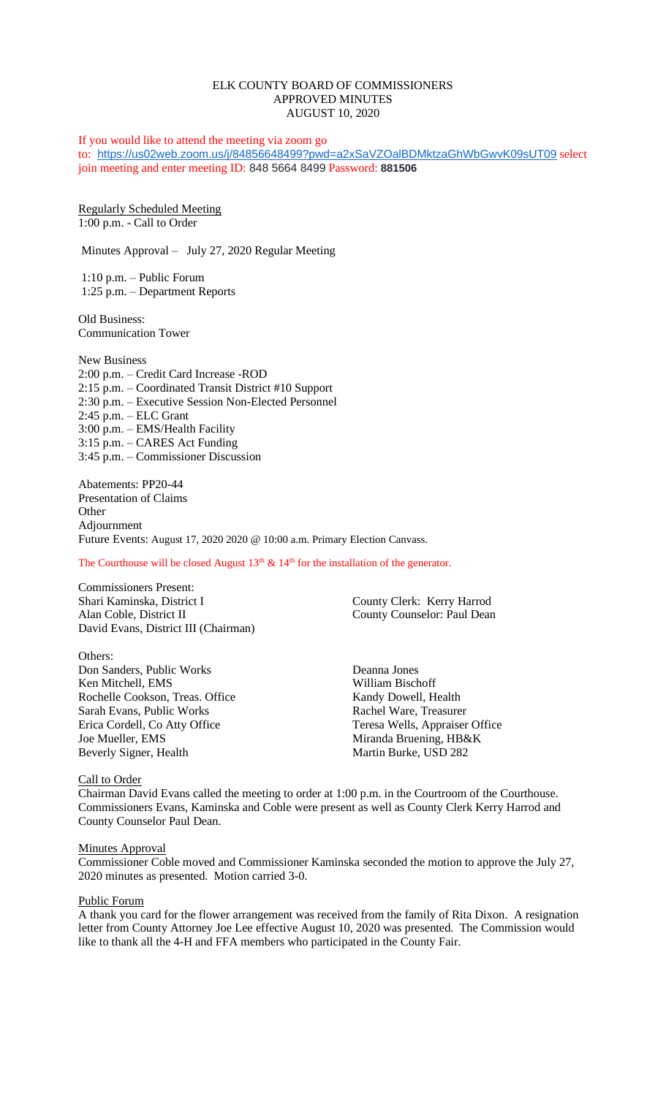## ELK COUNTY BOARD OF COMMISSIONERS APPROVED MINUTES AUGUST 10, 2020

If you would like to attend the meeting via zoom go to: <https://us02web.zoom.us/j/84856648499?pwd=a2xSaVZOalBDMktzaGhWbGwvK09sUT09> select join meeting and enter meeting ID: 848 5664 8499 Password: **881506**

Regularly Scheduled Meeting 1:00 p.m. - Call to Order

Minutes Approval – July 27, 2020 Regular Meeting

1:10 p.m. – Public Forum 1:25 p.m. – Department Reports

Old Business: Communication Tower

New Business 2:00 p.m. – Credit Card Increase -ROD 2:15 p.m. – Coordinated Transit District #10 Support 2:30 p.m. – Executive Session Non-Elected Personnel 2:45 p.m. – ELC Grant 3:00 p.m. – EMS/Health Facility 3:15 p.m. – CARES Act Funding 3:45 p.m. – Commissioner Discussion

Abatements: PP20-44 Presentation of Claims **Other** Adjournment Future Events: August 17, 2020 2020 @ 10:00 a.m. Primary Election Canvass.

The Courthouse will be closed August  $13<sup>th</sup>$  &  $14<sup>th</sup>$  for the installation of the generator.

Commissioners Present: Shari Kaminska, District I County Clerk: Kerry Harrod Alan Coble, District II County Counselor: Paul Dean David Evans, District III (Chairman)

Others: Don Sanders, Public Works Deanna Jones Ken Mitchell, EMS William Bischoff Rochelle Cookson, Treas. Office Kandy Dowell, Health Sarah Evans, Public Works Rachel Ware, Treasurer Erica Cordell, Co Atty Office Teresa Wells, Appraiser Office Joe Mueller, EMS Miranda Bruening, HB&K Beverly Signer, Health Martin Burke, USD 282

#### Call to Order

Chairman David Evans called the meeting to order at 1:00 p.m. in the Courtroom of the Courthouse. Commissioners Evans, Kaminska and Coble were present as well as County Clerk Kerry Harrod and County Counselor Paul Dean.

#### **Minutes Approval**

Commissioner Coble moved and Commissioner Kaminska seconded the motion to approve the July 27, 2020 minutes as presented. Motion carried 3-0.

#### Public Forum

A thank you card for the flower arrangement was received from the family of Rita Dixon. A resignation letter from County Attorney Joe Lee effective August 10, 2020 was presented. The Commission would like to thank all the 4-H and FFA members who participated in the County Fair.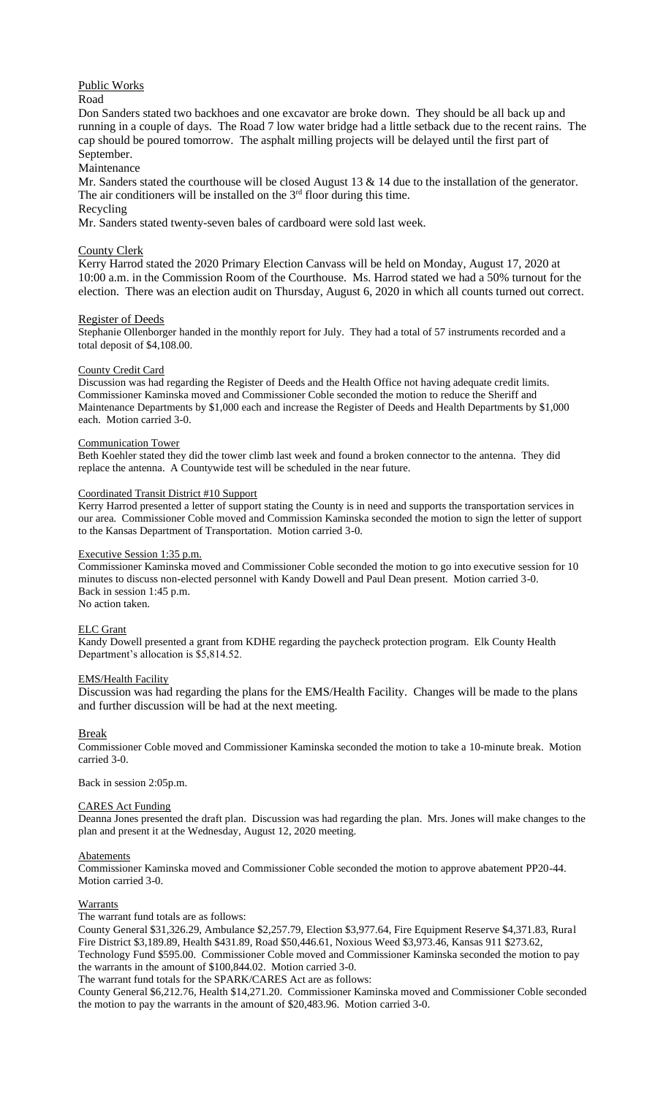# Public Works

### Road

Don Sanders stated two backhoes and one excavator are broke down. They should be all back up and running in a couple of days. The Road 7 low water bridge had a little setback due to the recent rains. The cap should be poured tomorrow. The asphalt milling projects will be delayed until the first part of September.

## Maintenance

Mr. Sanders stated the courthouse will be closed August 13 & 14 due to the installation of the generator. The air conditioners will be installed on the  $3<sup>rd</sup>$  floor during this time.

# Recycling

Mr. Sanders stated twenty-seven bales of cardboard were sold last week.

### County Clerk

Kerry Harrod stated the 2020 Primary Election Canvass will be held on Monday, August 17, 2020 at 10:00 a.m. in the Commission Room of the Courthouse. Ms. Harrod stated we had a 50% turnout for the election. There was an election audit on Thursday, August 6, 2020 in which all counts turned out correct.

### Register of Deeds

Stephanie Ollenborger handed in the monthly report for July. They had a total of 57 instruments recorded and a total deposit of \$4,108.00.

#### County Credit Card

Discussion was had regarding the Register of Deeds and the Health Office not having adequate credit limits. Commissioner Kaminska moved and Commissioner Coble seconded the motion to reduce the Sheriff and Maintenance Departments by \$1,000 each and increase the Register of Deeds and Health Departments by \$1,000 each. Motion carried 3-0.

#### Communication Tower

Beth Koehler stated they did the tower climb last week and found a broken connector to the antenna. They did replace the antenna. A Countywide test will be scheduled in the near future.

#### Coordinated Transit District #10 Support

Kerry Harrod presented a letter of support stating the County is in need and supports the transportation services in our area. Commissioner Coble moved and Commission Kaminska seconded the motion to sign the letter of support to the Kansas Department of Transportation. Motion carried 3-0.

### Executive Session 1:35 p.m.

Commissioner Kaminska moved and Commissioner Coble seconded the motion to go into executive session for 10 minutes to discuss non-elected personnel with Kandy Dowell and Paul Dean present. Motion carried 3-0. Back in session 1:45 p.m. No action taken.

#### ELC Grant

Kandy Dowell presented a grant from KDHE regarding the paycheck protection program. Elk County Health Department's allocation is \$5,814.52.

### EMS/Health Facility

Discussion was had regarding the plans for the EMS/Health Facility. Changes will be made to the plans and further discussion will be had at the next meeting.

Break

Commissioner Coble moved and Commissioner Kaminska seconded the motion to take a 10-minute break. Motion carried 3-0.

Back in session 2:05p.m.

#### CARES Act Funding

Deanna Jones presented the draft plan. Discussion was had regarding the plan. Mrs. Jones will make changes to the plan and present it at the Wednesday, August 12, 2020 meeting.

#### **Abatements**

Commissioner Kaminska moved and Commissioner Coble seconded the motion to approve abatement PP20-44. Motion carried 3-0.

#### Warrants

The warrant fund totals are as follows:

County General \$31,326.29, Ambulance \$2,257.79, Election \$3,977.64, Fire Equipment Reserve \$4,371.83, Rural Fire District \$3,189.89, Health \$431.89, Road \$50,446.61, Noxious Weed \$3,973.46, Kansas 911 \$273.62,

Technology Fund \$595.00. Commissioner Coble moved and Commissioner Kaminska seconded the motion to pay the warrants in the amount of \$100,844.02. Motion carried 3-0.

The warrant fund totals for the SPARK/CARES Act are as follows:

County General \$6,212.76, Health \$14,271.20. Commissioner Kaminska moved and Commissioner Coble seconded the motion to pay the warrants in the amount of \$20,483.96. Motion carried 3-0.